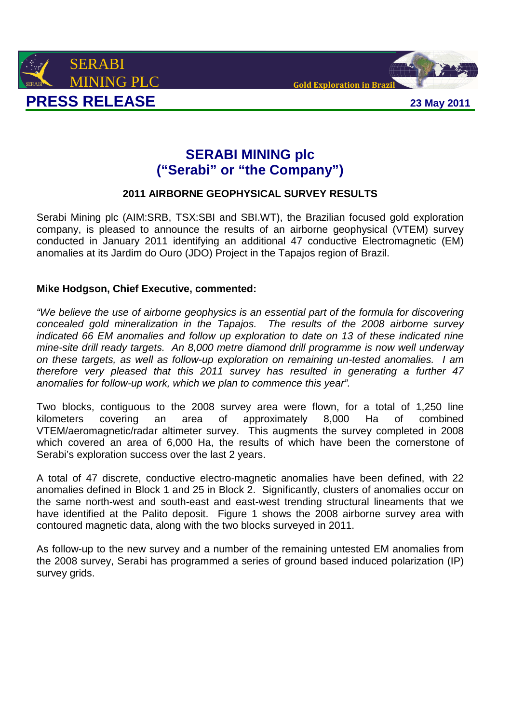



# **SERABI MINING plc ("Serabi" or "the Company")**

## **2011 AIRBORNE GEOPHYSICAL SURVEY RESULTS**

Serabi Mining plc (AIM:SRB, TSX:SBI and SBI.WT), the Brazilian focused gold exploration company, is pleased to announce the results of an airborne geophysical (VTEM) survey conducted in January 2011 identifying an additional 47 conductive Electromagnetic (EM) anomalies at its Jardim do Ouro (JDO) Project in the Tapajos region of Brazil.

### **Mike Hodgson, Chief Executive, commented:**

"We believe the use of airborne geophysics is an essential part of the formula for discovering concealed gold mineralization in the Tapajos. The results of the 2008 airborne survey indicated 66 EM anomalies and follow up exploration to date on 13 of these indicated nine mine-site drill ready targets. An 8,000 metre diamond drill programme is now well underway on these targets, as well as follow-up exploration on remaining un-tested anomalies. I am therefore very pleased that this 2011 survey has resulted in generating a further 47 anomalies for follow-up work, which we plan to commence this year".

Two blocks, contiguous to the 2008 survey area were flown, for a total of 1,250 line kilometers covering an area of approximately 8,000 Ha of combined VTEM/aeromagnetic/radar altimeter survey. This augments the survey completed in 2008 which covered an area of 6,000 Ha, the results of which have been the cornerstone of Serabi's exploration success over the last 2 years.

A total of 47 discrete, conductive electro-magnetic anomalies have been defined, with 22 anomalies defined in Block 1 and 25 in Block 2. Significantly, clusters of anomalies occur on the same north-west and south-east and east-west trending structural lineaments that we have identified at the Palito deposit. Figure 1 shows the 2008 airborne survey area with contoured magnetic data, along with the two blocks surveyed in 2011.

As follow-up to the new survey and a number of the remaining untested EM anomalies from the 2008 survey, Serabi has programmed a series of ground based induced polarization (IP) survey arids.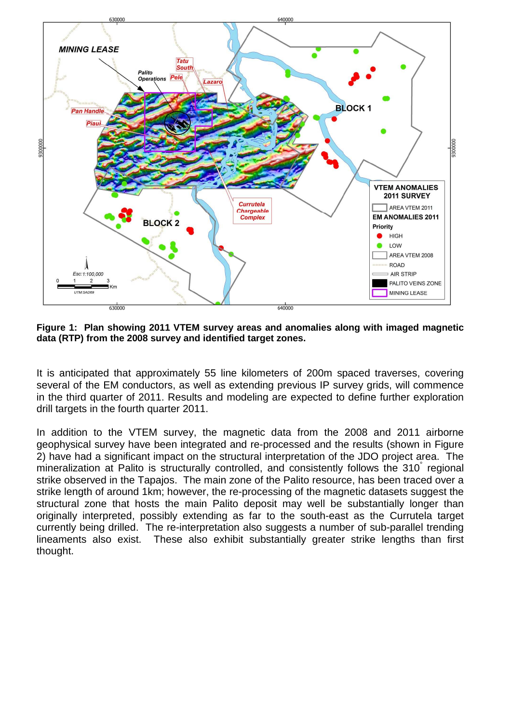

**Figure 1: Plan showing 2011 VTEM survey areas and anomalies along with imaged magnetic data (RTP) from the 2008 survey and identified target zones.** 

It is anticipated that approximately 55 line kilometers of 200m spaced traverses, covering several of the EM conductors, as well as extending previous IP survey grids, will commence in the third quarter of 2011. Results and modeling are expected to define further exploration drill targets in the fourth quarter 2011.

In addition to the VTEM survey, the magnetic data from the 2008 and 2011 airborne geophysical survey have been integrated and re-processed and the results (shown in Figure 2) have had a significant impact on the structural interpretation of the JDO project area. The mineralization at Palito is structurally controlled, and consistently follows the 310° regional strike observed in the Tapajos. The main zone of the Palito resource, has been traced over a strike length of around 1km; however, the re-processing of the magnetic datasets suggest the structural zone that hosts the main Palito deposit may well be substantially longer than originally interpreted, possibly extending as far to the south-east as the Currutela target currently being drilled. The re-interpretation also suggests a number of sub-parallel trending lineaments also exist. These also exhibit substantially greater strike lengths than first thought.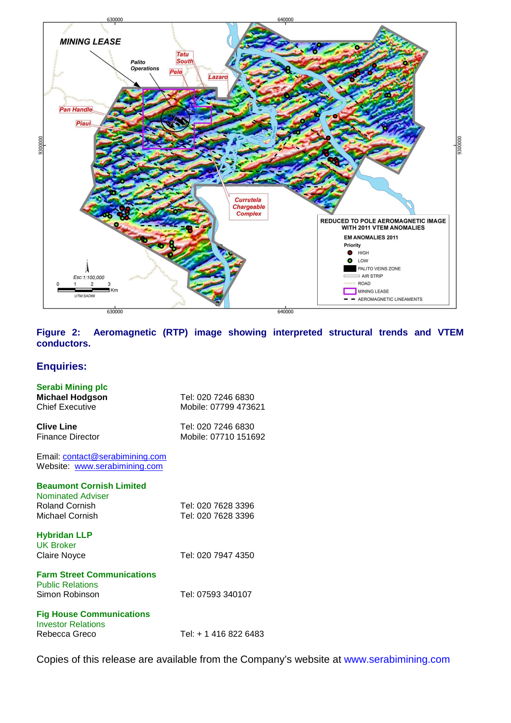

**Figure 2: Aeromagnetic (RTP) image showing interpreted structural trends and VTEM conductors.** 

### **Enquiries:**

| <b>Serabi Mining plc</b><br><b>Michael Hodgson</b><br><b>Chief Executive</b>                            | Tel: 020 7246 6830<br>Mobile: 07799 473621 |
|---------------------------------------------------------------------------------------------------------|--------------------------------------------|
| <b>Clive Line</b><br><b>Finance Director</b>                                                            | Tel: 020 7246 6830<br>Mobile: 07710 151692 |
| Email: contact@serabimining.com<br>Website: www.serabimining.com                                        |                                            |
| <b>Beaumont Cornish Limited</b><br><b>Nominated Adviser</b><br><b>Roland Cornish</b><br>Michael Cornish | Tel: 020 7628 3396<br>Tel: 020 7628 3396   |
| <b>Hybridan LLP</b><br><b>UK Broker</b><br><b>Claire Noyce</b>                                          | Tel: 020 7947 4350                         |
| <b>Farm Street Communications</b><br><b>Public Relations</b><br>Simon Robinson                          | Tel: 07593 340107                          |
| <b>Fig House Communications</b><br><b>Investor Relations</b><br>Rebecca Greco                           | Tel: + 1 416 822 6483                      |

Copies of this release are available from the Company's website at www.serabimining.com